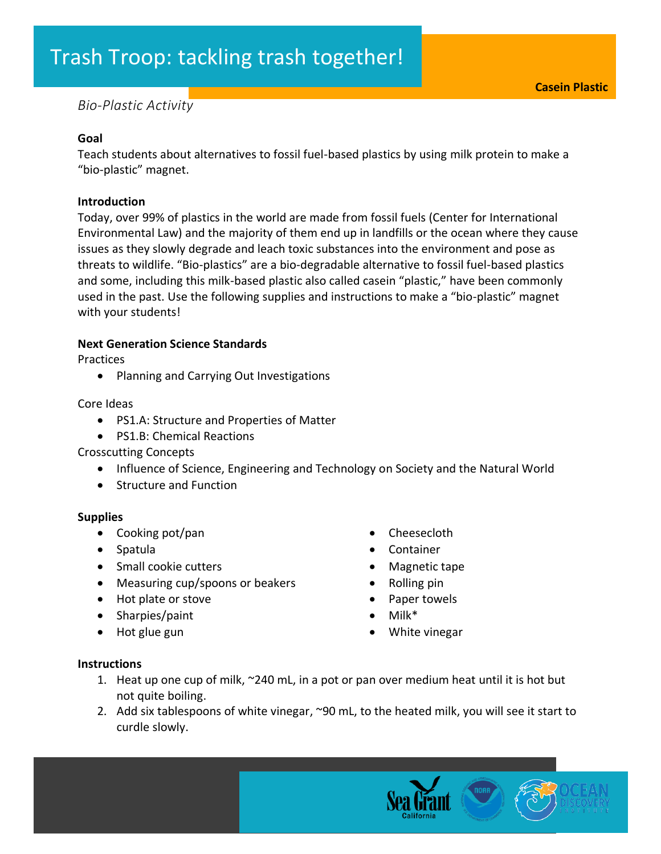# Trash Troop: tackling trash together!

# *Bio-Plastic Activity*

### **Goal**

Teach students about alternatives to fossil fuel-based plastics by using milk protein to make a "bio-plastic" magnet.

#### **Introduction**

Today, over 99% of plastics in the world are made from fossil fuels (Center for International Environmental Law) and the majority of them end up in landfills or the ocean where they cause issues as they slowly degrade and leach toxic substances into the environment and pose as threats to wildlife. "Bio-plastics" are a bio-degradable alternative to fossil fuel-based plastics and some, including this milk-based plastic also called casein "plastic," have been commonly used in the past. Use the following supplies and instructions to make a "bio-plastic" magnet with your students!

## **Next Generation Science Standards**

Practices

• Planning and Carrying Out Investigations

Core Ideas

- PS1.A: Structure and Properties of Matter
- PS1.B: Chemical Reactions

Crosscutting Concepts

- Influence of Science, Engineering and Technology on Society and the Natural World
- Structure and Function

#### **Supplies**

- Cooking pot/pan
- Spatula
- Small cookie cutters
- Measuring cup/spoons or beakers
- Hot plate or stove
- Sharpies/paint
- Hot glue gun
- Cheesecloth
- Container
- Magnetic tape
- Rolling pin
- Paper towels
- Milk\*
- White vinegar

### **Instructions**

- 1. Heat up one cup of milk, ~240 mL, in a pot or pan over medium heat until it is hot but not quite boiling.
- 2. Add six tablespoons of white vinegar, ~90 mL, to the heated milk, you will see it start to curdle slowly.